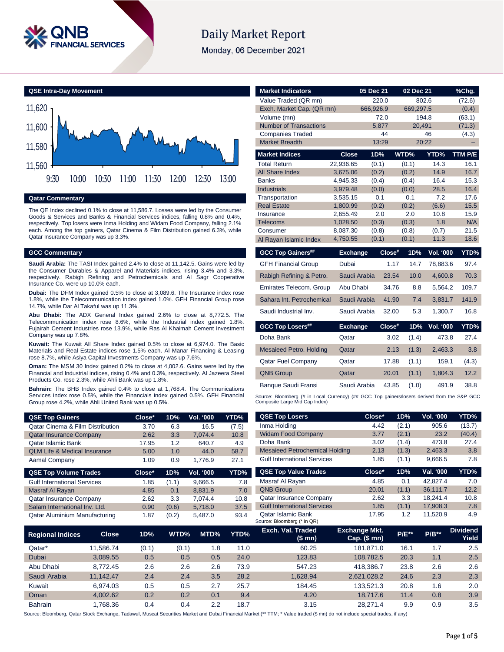

# **Daily Market Report**

Monday, 06 December 2021

**QSE Intra-Day Movement**



**Qatar Commentary**

The QE Index declined 0.1% to close at 11,586.7. Losses were led by the Consumer Goods & Services and Banks & Financial Services indices, falling 0.8% and 0.4%, respectively. Top losers were Inma Holding and Widam Food Company, falling 2.1% each. Among the top gainers, Qatar Cinema & Film Distribution gained 6.3%, while Qatar Insurance Company was up 3.3%.

#### **GCC Commentary**

**Saudi Arabia:** The TASI Index gained 2.4% to close at 11,142.5. Gains were led by the Consumer Durables & Apparel and Materials indices, rising 3.4% and 3.3%, respectively. Rabigh Refining and Petrochemicals and Al Sagr Cooperative Insurance Co. were up 10.0% each.

**Dubai:** The DFM Index gained 0.5% to close at 3,089.6. The Insurance index rose 1.8%, while the Telecommunication index gained 1.0%. GFH Financial Group rose 14.7%, while Dar Al Takaful was up 11.3%.

**Abu Dhabi:** The ADX General Index gained 2.6% to close at 8,772.5. The Telecommunication index rose 8.6%, while the Industrial index gained 1.8%. Fujairah Cement Industries rose 13.9%, while Ras Al Khaimah Cement Investment Company was up 7.8%.

**Kuwait:** The Kuwait All Share Index gained 0.5% to close at 6,974.0. The Basic Materials and Real Estate indices rose 1.5% each. Al Manar Financing & Leasing rose 8.7%, while Asiya Capital Investments Company was up 7.6%.

**Oman:** The MSM 30 Index gained 0.2% to close at 4,002.6. Gains were led by the Financial and Industrial indices, rising 0.4% and 0.3%, respectively. Al Jazeera Steel Products Co. rose 2.3%, while Ahli Bank was up 1.8%.

**Bahrain:** The BHB Index gained 0.4% to close at 1,768.4. The Communications Services index rose 0.5%, while the Financials index gained 0.5%. GFH Financial Group rose 4.2%, while Ahli United Bank was up 0.5%.

| <b>QSE Top Gainers</b>                      | Close* | 1D% | Vol. '000 | YTD%  |
|---------------------------------------------|--------|-----|-----------|-------|
| <b>Qatar Cinema &amp; Film Distribution</b> | 3.70   | 6.3 | 16.5      | (7.5) |
| <b>Qatar Insurance Company</b>              | 2.62   | 3.3 | 7.074.4   | 10.8  |
| Qatar Islamic Bank                          | 17.95  | 1.2 | 640.7     | 4.9   |
| <b>QLM Life &amp; Medical Insurance</b>     | 5.00   | 1.O | 44.0      | 58.7  |
| Aamal Company                               | 1.09   | 0.9 | 1.776.9   | 27.1  |
| <b>QSE Top Volume Trades</b>                | Close* | 1D% | Vol. '000 | YTD%  |

| <b>Gulf International Services</b> | 1.85 | (1.1) | 9,666.5 | 7.8  |
|------------------------------------|------|-------|---------|------|
| Masraf Al Rayan                    | 4.85 | 0.1   | 8.831.9 | 7.0  |
| <b>Qatar Insurance Company</b>     | 2.62 | 3.3   | 7.074.4 | 10.8 |
| Salam International Inv. Ltd.      | 0.90 | (0.6) | 5.718.0 | 37.5 |
| Qatar Aluminium Manufacturing      | 1.87 | (0.2) | 5.487.0 | 93.4 |

| <b>Market Indicators</b>                                                                                                      |                      | 05 Dec 21    |        | 02 Dec 21    |               | %Chg.        |
|-------------------------------------------------------------------------------------------------------------------------------|----------------------|--------------|--------|--------------|---------------|--------------|
| Value Traded (QR mn)                                                                                                          |                      | 220.0        |        |              | 802.6         | (72.6)       |
| Exch. Market Cap. (QR mn)                                                                                                     |                      | 666,926.9    |        | 669,297.5    |               | (0.4)        |
| Volume (mn)                                                                                                                   |                      |              | 72.0   |              | 194.8         | (63.1)       |
| <b>Number of Transactions</b>                                                                                                 |                      | 5.877        |        | 20.491       |               | (71.3)       |
| <b>Companies Traded</b>                                                                                                       |                      |              | 44     |              | 46            | (4.3)        |
| <b>Market Breadth</b>                                                                                                         |                      | 13:29        |        |              | 20:22         |              |
| <b>Market Indices</b>                                                                                                         | Close                | 1D%          |        | WTD%         | YTD%          | TTM P/E      |
| <b>Total Return</b>                                                                                                           | 22,936.65            | (0.1)        |        | (0.1)        | 14.3          | 16.1         |
| <b>All Share Index</b>                                                                                                        | 3,675.06             | (0.2)        |        | (0.2)        | 14.9          | 16.7         |
| <b>Banks</b>                                                                                                                  | 4,945.33             | (0.4)        |        | (0.4)        | 16.4          | 15.3         |
| <b>Industrials</b>                                                                                                            | 3,979.48             | (0.0)        |        | (0.0)        | 28.5          | 16.4         |
| Transportation                                                                                                                | 3,535.15             | 0.1          |        | 0.1          | 7.2           | 17.6         |
| <b>Real Estate</b><br>Insurance                                                                                               | 1,800.99<br>2,655.49 | (0.2)<br>2.0 |        | (0.2)<br>2.0 | (6.6)<br>10.8 | 15.5<br>15.9 |
| <b>Telecoms</b>                                                                                                               | 1,028.50             | (0.3)        |        | (0.3)        | 1.8           | N/A          |
| Consumer                                                                                                                      | 8,087.30             | (0.8)        |        | (0.8)        | (0.7)         | 21.5         |
| Al Rayan Islamic Index                                                                                                        | 4,750.55             | (0.1)        |        | (0.1)        | 11.3          | 18.6         |
|                                                                                                                               |                      |              |        |              |               |              |
| <b>GCC Top Gainers##</b>                                                                                                      | <b>Exchange</b>      |              | Close# | 1D%          | Vol. '000     | YTD%         |
| <b>GFH Financial Group</b>                                                                                                    | Dubai                |              | 1.17   | 14.7         | 78,883.6      | 97.4         |
| Rabigh Refining & Petro.                                                                                                      | Saudi Arabia         |              | 23.54  | 10.0         | 4,600.8       | 70.3         |
| Emirates Telecom, Group                                                                                                       | Abu Dhabi            |              | 34.76  | 8.8          | 5.564.2       | 109.7        |
| Sahara Int. Petrochemical                                                                                                     | Saudi Arabia         |              | 41.90  | 7.4          | 3,831.7       | 141.9        |
| Saudi Industrial Inv.                                                                                                         | Saudi Arabia         |              | 32.00  | 5.3          | 1,300.7       | 16.8         |
| <b>GCC Top Losers##</b>                                                                                                       | <b>Exchange</b>      |              | Close# | 1D%          | Vol. '000     | YTD%         |
| Doha Bank                                                                                                                     | Qatar                |              | 3.02   | (1.4)        | 473.8         | 27.4         |
| <b>Mesaieed Petro. Holding</b>                                                                                                | Qatar                |              | 2.13   | (1.3)        | 2,463.3       | 3.8          |
| <b>Qatar Fuel Company</b>                                                                                                     | Qatar                |              | 17.88  | (1.1)        | 159.1         | (4.3)        |
| <b>QNB Group</b>                                                                                                              | Qatar                |              | 20.01  | (1.1)        | 1,804.3       | 12.2         |
| Banque Saudi Fransi                                                                                                           | Saudi Arabia         |              | 43.85  | (1.0)        | 491.9         | 38.8         |
| Source: Bloomberg (# in Local Currency) (## GCC Top gainers/losers derived from the S&P GCC<br>Composite Large Mid Cap Index) |                      |              |        |              |               |              |
| <b>QSE Top Losers</b>                                                                                                         |                      | Close*       |        | 1D%          | Vol. '000     | YTD%         |
| Inma Holding                                                                                                                  |                      | 112          |        | (2.1)        | $Q0$ and      | (137)        |

| <b>QSE Top Losers</b>                             | Close*             | 1D%   | VOI. '000 | Y I D% I              |
|---------------------------------------------------|--------------------|-------|-----------|-----------------------|
| Inma Holding                                      | 4.42               | (2.1) | 905.6     | (13.7)                |
| <b>Widam Food Company</b>                         | 3.77               | (2.1) | 23.2      | (40.4)                |
| Doha Bank                                         | 3.02               | (1.4) | 473.8     | 27.4                  |
| <b>Mesaieed Petrochemical Holding</b>             | 2.13               | (1.3) | 2,463.3   | 3.8                   |
| <b>Gulf International Services</b>                | 1.85               | (1.1) | 9,666.5   | 7.8                   |
| <b>QSE Top Value Trades</b>                       | Close*             | 1D%   | Val. '000 | YTD%                  |
| Masraf Al Rayan                                   | 4.85               | 0.1   | 42.827.4  | 7.0                   |
| <b>QNB Group</b>                                  | 20.01              | (1.1) | 36.111.7  | 12.2                  |
| <b>Qatar Insurance Company</b>                    | 2.62               | 3.3   | 18.241.4  | 10.8                  |
| <b>Gulf International Services</b>                | 1.85               | (1.1) | 17.908.3  | 7.8                   |
| Qatar Islamic Bank<br>Source: Bloomberg (* in QR) | 17.95              | 1.2   | 11.520.9  | 4.9                   |
| Escala Mal Togalact                               | Escalabase a Milat |       |           | <b>District And A</b> |

| <b>Regional Indices</b> | <b>Close</b> | 1D%   | WTD%  | MTD% | YTD% | Exch. Val. Traded<br>(\$ mn) | <b>Exchange Mkt.</b><br>Cap. $($$ mn $)$ | <b>P/E**</b> | $P/B**$ | <b>Dividend</b><br>Yield |
|-------------------------|--------------|-------|-------|------|------|------------------------------|------------------------------------------|--------------|---------|--------------------------|
| Qatar*                  | 11.586.74    | (0.1) | (0.1) | 1.8  | 11.0 | 60.25                        | 181.871.0                                | 16.1         | 1.7     | 2.5                      |
| Dubai                   | 3.089.55     | 0.5   | 0.5   | 0.5  | 24.0 | 123.83                       | 108.782.5                                | 20.3         | 1.1     | 2.5                      |
| Abu Dhabi               | 8.772.45     | 2.6   | 2.6   | 2.6  | 73.9 | 547.23                       | 418.386.7                                | 23.8         | 2.6     | 2.6                      |
| Saudi Arabia            | 11.142.47    | 2.4   | 2.4   | 3.5  | 28.2 | 1.628.94                     | 2.621.028.2                              | 24.6         | 2.3     | 2.3                      |
| Kuwait                  | 6.974.03     | 0.5   | 0.5   | 2.7  | 25.7 | 184.45                       | 133.521.3                                | 20.8         | 1.6     | 2.0                      |
| Oman                    | 4.002.62     | 0.2   | 0.2   | 0.1  | 9.4  | 4.20                         | 18.717.6                                 | 11.4         | 0.8     | 3.9                      |
| <b>Bahrain</b>          | .768.36      | 0.4   | 0.4   | 2.2  | 18.7 | 3.15                         | 28.271.4                                 | 9.9          | 0.9     | 3.5                      |

Source: Bloomberg, Qatar Stock Exchange, Tadawul, Muscat Securities Market and Dubai Financial Market (\*\* TTM; \* Value traded (\$ mn) do not include special trades, if any)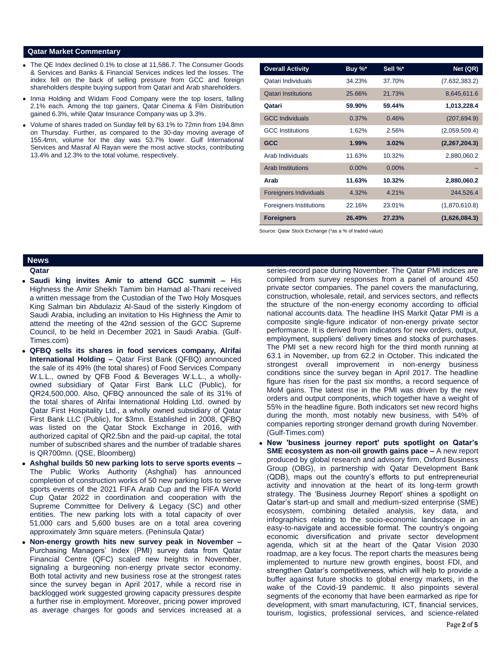### **Qatar Market Commentary**

- The QE Index declined 0.1% to close at 11,586.7. The Consumer Goods & Services and Banks & Financial Services indices led the losses. The index fell on the back of selling pressure from GCC and foreign shareholders despite buying support from Qatari and Arab shareholders.
- Inma Holding and Widam Food Company were the top losers, falling 2.1% each. Among the top gainers, Qatar Cinema & Film Distribution gained 6.3%, while Qatar Insurance Company was up 3.3%.
- Volume of shares traded on Sunday fell by 63.1% to 72mn from 194.8mn on Thursday. Further, as compared to the 30-day moving average of 155.4mn, volume for the day was 53.7% lower. Gulf International Services and Masraf Al Rayan were the most active stocks, contributing 13.4% and 12.3% to the total volume, respectively.

| <b>Overall Activity</b>        | Buy $\%^*$ | Sell %*  | Net (QR)      |
|--------------------------------|------------|----------|---------------|
| Qatari Individuals             | 34.23%     | 37.70%   | (7,632,383.2) |
| <b>Qatari Institutions</b>     | 25.66%     | 21.73%   | 8,645,611.6   |
| Qatari                         | 59.90%     | 59.44%   | 1,013,228.4   |
| <b>GCC Individuals</b>         | 0.37%      | 0.46%    | (207, 694.9)  |
| <b>GCC</b> Institutions        | 1.62%      | 2.56%    | (2,059,509.4) |
| <b>GCC</b>                     | 1.99%      | 3.02%    | (2,267,204.3) |
| Arab Individuals               | 11.63%     | 10.32%   | 2,880,060.2   |
| <b>Arab Institutions</b>       | $0.00\%$   | $0.00\%$ |               |
| Arab                           | 11.63%     | 10.32%   | 2,880,060.2   |
| <b>Foreigners Individuals</b>  | 4.32%      | 4.21%    | 244,526.4     |
| <b>Foreigners Institutions</b> | 22.16%     | 23.01%   | (1,870,610.8) |
| <b>Foreigners</b>              | 26.49%     | 27.23%   | (1,626,084.3) |

Source: Qatar Stock Exchange (\*as a % of traded value)

# **News**

**Qatar** 

- **Saudi king invites Amir to attend GCC summit –** His Highness the Amir Sheikh Tamim bin Hamad al-Thani received a written message from the Custodian of the Two Holy Mosques King Salman bin Abdulaziz Al-Saud of the sisterly Kingdom of Saudi Arabia, including an invitation to His Highness the Amir to attend the meeting of the 42nd session of the GCC Supreme Council, to be held in December 2021 in Saudi Arabia. (Gulf-Times.com)
- **QFBQ sells its shares in food services company, Alrifai International Holding –** Qatar First Bank (QFBQ) announced the sale of its 49% (the total shares) of Food Services Company W.L.L., owned by QFB Food & Beverages W.L.L., a whollyowned subsidiary of Qatar First Bank LLC (Public), for QR24,500,000. Also, QFBQ announced the sale of its 31% of the total shares of Alrifai International Holding Ltd. owned by Qatar First Hospitality Ltd., a wholly owned subsidiary of Qatar First Bank LLC (Public), for \$3mn. Established in 2008, QFBQ was listed on the Qatar Stock Exchange in 2016, with authorized capital of QR2.5bn and the paid-up capital, the total number of subscribed shares and the number of tradable shares is QR700mn. (QSE, Bloomberg)
- **Ashghal builds 50 new parking lots to serve sports events –** The Public Works Authority (Ashghal) has announced completion of construction works of 50 new parking lots to serve sports events of the 2021 FIFA Arab Cup and the FIFA World Cup Qatar 2022 in coordination and cooperation with the Supreme Committee for Delivery & Legacy (SC) and other entities. The new parking lots with a total capacity of over 51,000 cars and 5,600 buses are on a total area covering approximately 3mn square meters. (Peninsula Qatar)
- **Non-energy growth hits new survey peak in November –** Purchasing Managers' Index (PMI) survey data from Qatar Financial Centre (QFC) scaled new heights in November, signaling a burgeoning non-energy private sector economy. Both total activity and new business rose at the strongest rates since the survey began in April 2017, while a record rise in backlogged work suggested growing capacity pressures despite a further rise in employment. Moreover, pricing power improved as average charges for goods and services increased at a

series-record pace during November. The Qatar PMI indices are compiled from survey responses from a panel of around 450 private sector companies. The panel covers the manufacturing, construction, wholesale, retail, and services sectors, and reflects the structure of the non-energy economy according to official national accounts data. The headline IHS Markit Qatar PMI is a composite single-figure indicator of non-energy private sector performance. It is derived from indicators for new orders, output, employment, suppliers' delivery times and stocks of purchases. The PMI set a new record high for the third month running at 63.1 in November, up from 62.2 in October. This indicated the strongest overall improvement in non-energy business conditions since the survey began in April 2017. The headline figure has risen for the past six months, a record sequence of MoM gains. The latest rise in the PMI was driven by the new orders and output components, which together have a weight of 55% in the headline figure. Both indicators set new record highs during the month, most notably new business, with 54% of companies reporting stronger demand growth during November. (Gulf-Times.com)

 **New 'business journey report' puts spotlight on Qatar's SME ecosystem as non-oil growth gains pace –** A new report produced by global research and advisory firm, Oxford Business Group (OBG), in partnership with Qatar Development Bank (QDB), maps out the country's efforts to put entrepreneurial activity and innovation at the heart of its long-term growth strategy. The 'Business Journey Report' shines a spotlight on Qatar's start-up and small and medium-sized enterprise (SME) ecosystem, combining detailed analysis, key data, and infographics relating to the socio-economic landscape in an easy-to-navigate and accessible format. The country's ongoing economic diversification and private sector development agenda, which sit at the heart of the Qatar Vision 2030 roadmap, are a key focus. The report charts the measures being implemented to nurture new growth engines, boost FDI, and strengthen Qatar's competitiveness, which will help to provide a buffer against future shocks to global energy markets, in the wake of the Covid-19 pandemic. It also pinpoints several segments of the economy that have been earmarked as ripe for development, with smart manufacturing, ICT, financial services, tourism, logistics, professional services, and science-related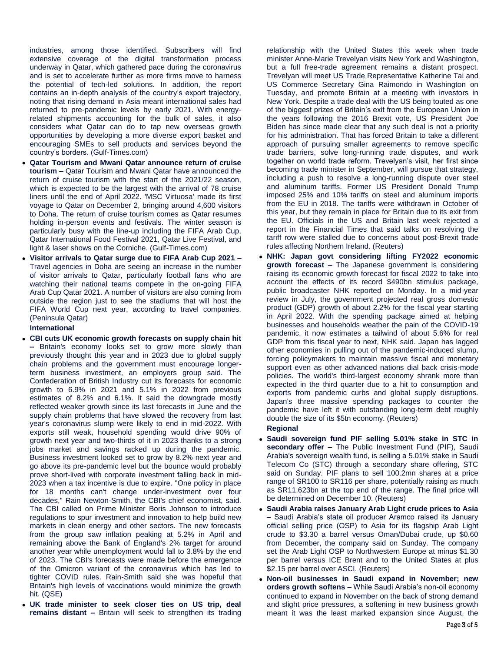industries, among those identified. Subscribers will find extensive coverage of the digital transformation process underway in Qatar, which gathered pace during the coronavirus and is set to accelerate further as more firms move to harness the potential of tech-led solutions. In addition, the report contains an in-depth analysis of the country's export trajectory, noting that rising demand in Asia meant international sales had returned to pre-pandemic levels by early 2021. With energyrelated shipments accounting for the bulk of sales, it also considers what Qatar can do to tap new overseas growth opportunities by developing a more diverse export basket and encouraging SMEs to sell products and services beyond the country's borders. (Gulf-Times.com)

- **Qatar Tourism and Mwani Qatar announce return of cruise tourism –** Qatar Tourism and Mwani Qatar have announced the return of cruise tourism with the start of the 2021/22 season, which is expected to be the largest with the arrival of 78 cruise liners until the end of April 2022. 'MSC Virtuosa' made its first voyage to Qatar on December 2, bringing around 4,600 visitors to Doha. The return of cruise tourism comes as Qatar resumes holding in-person events and festivals. The winter season is particularly busy with the line-up including the FIFA Arab Cup, Qatar International Food Festival 2021, Qatar Live Festival, and light & laser shows on the Corniche. (Gulf-Times.com)
- **Visitor arrivals to Qatar surge due to FIFA Arab Cup 2021 –** Travel agencies in Doha are seeing an increase in the number of visitor arrivals to Qatar, particularly football fans who are watching their national teams compete in the on-going FIFA Arab Cup Qatar 2021. A number of visitors are also coming from outside the region just to see the stadiums that will host the FIFA World Cup next year, according to travel companies. (Peninsula Qatar)

### **International**

- **CBI cuts UK economic growth forecasts on supply chain hit –** Britain's economy looks set to grow more slowly than previously thought this year and in 2023 due to global supply chain problems and the government must encourage longerterm business investment, an employers group said. The Confederation of British Industry cut its forecasts for economic growth to 6.9% in 2021 and 5.1% in 2022 from previous estimates of 8.2% and 6.1%. It said the downgrade mostly reflected weaker growth since its last forecasts in June and the supply chain problems that have slowed the recovery from last year's coronavirus slump were likely to end in mid-2022. With exports still weak, household spending would drive 90% of growth next year and two-thirds of it in 2023 thanks to a strong jobs market and savings racked up during the pandemic. Business investment looked set to grow by 8.2% next year and go above its pre-pandemic level but the bounce would probably prove short-lived with corporate investment falling back in mid-2023 when a tax incentive is due to expire. "One policy in place for 18 months can't change under-investment over four decades," Rain Newton-Smith, the CBI's chief economist, said. The CBI called on Prime Minister Boris Johnson to introduce regulations to spur investment and innovation to help build new markets in clean energy and other sectors. The new forecasts from the group saw inflation peaking at 5.2% in April and remaining above the Bank of England's 2% target for around another year while unemployment would fall to 3.8% by the end of 2023. The CBI's forecasts were made before the emergence of the Omicron variant of the coronavirus which has led to tighter COVID rules. Rain-Smith said she was hopeful that Britain's high levels of vaccinations would minimize the growth hit. (QSE)
- **UK trade minister to seek closer ties on US trip, deal remains distant –** Britain will seek to strengthen its trading

relationship with the United States this week when trade minister Anne-Marie Trevelyan visits New York and Washington, but a full free-trade agreement remains a distant prospect. Trevelyan will meet US Trade Representative Katherine Tai and US Commerce Secretary Gina Raimondo in Washington on Tuesday, and promote Britain at a meeting with investors in New York. Despite a trade deal with the US being touted as one of the biggest prizes of Britain's exit from the European Union in the years following the 2016 Brexit vote, US President Joe Biden has since made clear that any such deal is not a priority for his administration. That has forced Britain to take a different approach of pursuing smaller agreements to remove specific trade barriers, solve long-running trade disputes, and work together on world trade reform. Trevelyan's visit, her first since becoming trade minister in September, will pursue that strategy, including a push to resolve a long-running dispute over steel and aluminum tariffs. Former US President Donald Trump imposed 25% and 10% tariffs on steel and aluminum imports from the EU in 2018. The tariffs were withdrawn in October of this year, but they remain in place for Britain due to its exit from the EU. Officials in the US and Britain last week rejected a report in the Financial Times that said talks on resolving the tariff row were stalled due to concerns about post-Brexit trade rules affecting Northern Ireland. (Reuters)

 **NHK: Japan govt considering lifting FY2022 economic growth forecast –** The Japanese government is considering raising its economic growth forecast for fiscal 2022 to take into account the effects of its record \$490bn stimulus package, public broadcaster NHK reported on Monday. In a mid-year review in July, the government projected real gross domestic product (GDP) growth of about 2.2% for the fiscal year starting in April 2022. With the spending package aimed at helping businesses and households weather the pain of the COVID-19 pandemic, it now estimates a tailwind of about 5.6% for real GDP from this fiscal year to next, NHK said. Japan has lagged other economies in pulling out of the pandemic-induced slump, forcing policymakers to maintain massive fiscal and monetary support even as other advanced nations dial back crisis-mode policies. The world's third-largest economy shrank more than expected in the third quarter due to a hit to consumption and exports from pandemic curbs and global supply disruptions. Japan's three massive spending packages to counter the pandemic have left it with outstanding long-term debt roughly double the size of its \$5tn economy. (Reuters)

### **Regional**

- **Saudi sovereign fund PIF selling 5.01% stake in STC in secondary offer –** The Public Investment Fund (PIF), Saudi Arabia's sovereign wealth fund, is selling a 5.01% stake in Saudi Telecom Co (STC) through a secondary share offering, STC said on Sunday. PIF plans to sell 100.2mn shares at a price range of SR100 to SR116 per share, potentially raising as much as SR11.623bn at the top end of the range. The final price will be determined on December 10. (Reuters)
- **Saudi Arabia raises January Arab Light crude prices to Asia –** Saudi Arabia's state oil producer Aramco raised its January official selling price (OSP) to Asia for its flagship Arab Light crude to \$3.30 a barrel versus Oman/Dubai crude, up \$0.60 from December, the company said on Sunday. The company set the Arab Light OSP to Northwestern Europe at minus \$1.30 per barrel versus ICE Brent and to the United States at plus \$2.15 per barrel over ASCI. (Reuters)
- **Non-oil businesses in Saudi expand in November; new orders growth softens –** While Saudi Arabia's non-oil economy continued to expand in November on the back of strong demand and slight price pressures, a softening in new business growth meant it was the least marked expansion since August, the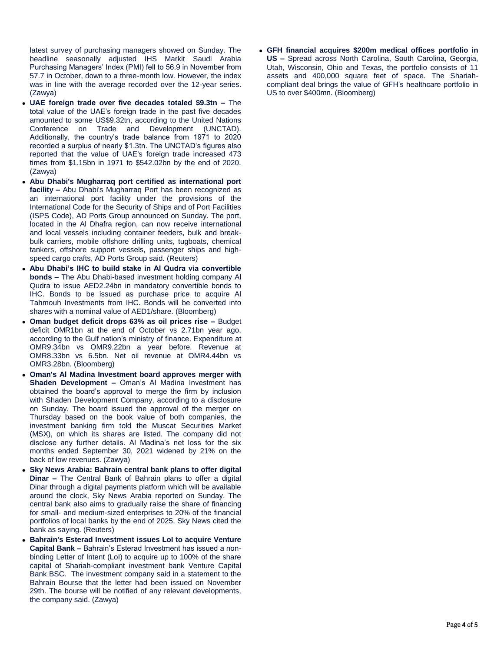latest survey of purchasing managers showed on Sunday. The headline seasonally adjusted IHS Markit Saudi Arabia Purchasing Managers' Index (PMI) fell to 56.9 in November from 57.7 in October, down to a three-month low. However, the index was in line with the average recorded over the 12-year series. (Zawya)

- **UAE foreign trade over five decades totaled \$9.3tn –** The total value of the UAE's foreign trade in the past five decades amounted to some US\$9.32tn, according to the United Nations Conference on Trade and Development (UNCTAD). Additionally, the country's trade balance from 1971 to 2020 recorded a surplus of nearly \$1.3tn. The UNCTAD's figures also reported that the value of UAE's foreign trade increased 473 times from \$1.15bn in 1971 to \$542.02bn by the end of 2020. (Zawya)
- **Abu Dhabi's Mugharraq port certified as international port facility –** Abu Dhabi's Mugharraq Port has been recognized as an international port facility under the provisions of the International Code for the Security of Ships and of Port Facilities (ISPS Code), AD Ports Group announced on Sunday. The port, located in the Al Dhafra region, can now receive international and local vessels including container feeders, bulk and breakbulk carriers, mobile offshore drilling units, tugboats, chemical tankers, offshore support vessels, passenger ships and highspeed cargo crafts, AD Ports Group said. (Reuters)
- **Abu Dhabi's IHC to build stake in Al Qudra via convertible bonds –** The Abu Dhabi-based investment holding company Al Qudra to issue AED2.24bn in mandatory convertible bonds to IHC. Bonds to be issued as purchase price to acquire Al Tahmouh Investments from IHC. Bonds will be converted into shares with a nominal value of AED1/share. (Bloomberg)
- **Oman budget deficit drops 63% as oil prices rise –** Budget deficit OMR1bn at the end of October vs 2.71bn year ago, according to the Gulf nation's ministry of finance. Expenditure at OMR9.34bn vs OMR9.22bn a year before. Revenue at OMR8.33bn vs 6.5bn. Net oil revenue at OMR4.44bn vs OMR3.28bn. (Bloomberg)
- **Oman's Al Madina Investment board approves merger with Shaden Development –** Oman's Al Madina Investment has obtained the board's approval to merge the firm by inclusion with Shaden Development Company, according to a disclosure on Sunday. The board issued the approval of the merger on Thursday based on the book value of both companies, the investment banking firm told the Muscat Securities Market (MSX), on which its shares are listed. The company did not disclose any further details. Al Madina's net loss for the six months ended September 30, 2021 widened by 21% on the back of low revenues. (Zawya)
- **Sky News Arabia: Bahrain central bank plans to offer digital Dinar –** The Central Bank of Bahrain plans to offer a digital Dinar through a digital payments platform which will be available around the clock, Sky News Arabia reported on Sunday. The central bank also aims to gradually raise the share of financing for small- and medium-sized enterprises to 20% of the financial portfolios of local banks by the end of 2025, Sky News cited the bank as saying. (Reuters)
- **Bahrain's Esterad Investment issues LoI to acquire Venture Capital Bank –** Bahrain's Esterad Investment has issued a nonbinding Letter of Intent (LoI) to acquire up to 100% of the share capital of Shariah-compliant investment bank Venture Capital Bank BSC. The investment company said in a statement to the Bahrain Bourse that the letter had been issued on November 29th. The bourse will be notified of any relevant developments, the company said. (Zawya)

 **GFH financial acquires \$200m medical offices portfolio in US –** Spread across North Carolina, South Carolina, Georgia, Utah, Wisconsin, Ohio and Texas, the portfolio consists of 11 assets and 400,000 square feet of space. The Shariahcompliant deal brings the value of GFH's healthcare portfolio in US to over \$400mn. (Bloomberg)